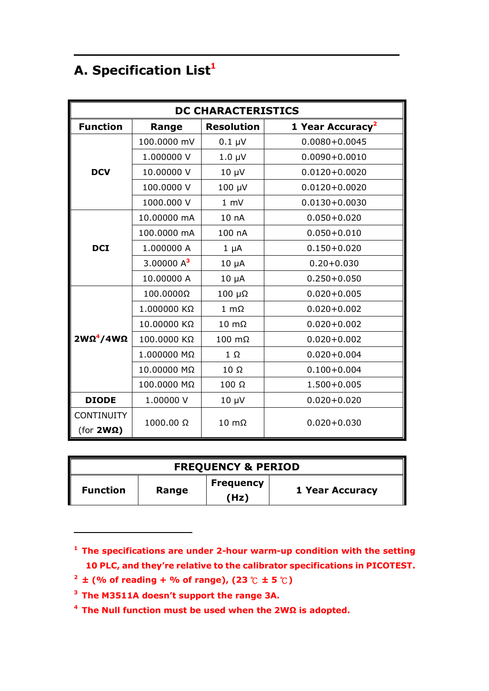## **A. Specification List<sup>1</sup>**

| <b>DC CHARACTERISTICS</b> |               |                       |                              |
|---------------------------|---------------|-----------------------|------------------------------|
| <b>Function</b>           | Range         | <b>Resolution</b>     | 1 Year Accuracy <sup>2</sup> |
|                           | 100.0000 mV   | $0.1 \mu V$           | $0.0080 + 0.0045$            |
|                           | 1.000000 V    | $1.0 \mu V$           | $0.0090 + 0.0010$            |
| <b>DCV</b>                | 10.00000 V    | $10 \mu V$            | $0.0120 + 0.0020$            |
|                           | 100.0000 V    | 100 µV                | $0.0120 + 0.0020$            |
|                           | 1000.000 V    | 1 mV                  | $0.0130 + 0.0030$            |
|                           | 10.00000 mA   | 10 nA                 | $0.050 + 0.020$              |
|                           | 100.0000 mA   | 100 nA                | $0.050 + 0.010$              |
| <b>DCI</b>                | 1.000000 A    | $1 \mu A$             | $0.150 + 0.020$              |
|                           | 3.00000 $A^3$ | $10 \mu A$            | $0.20 + 0.030$               |
|                           | 10.00000 A    | $10 \mu A$            | $0.250 + 0.050$              |
|                           | 100.0000Ω     | $100 \mu\Omega$       | $0.020 + 0.005$              |
|                           | 1.000000 KΩ   | $1 \text{ m}\Omega$   | $0.020 + 0.002$              |
|                           | 10.00000 KΩ   | $10 \text{ m}\Omega$  | $0.020 + 0.002$              |
| 2WΩ <sup>4</sup> /4WΩ     | 100.0000 KΩ   | $100 \text{ m}\Omega$ | $0.020 + 0.002$              |
|                           | 1.000000 MΩ   | $1 \Omega$            | $0.020 + 0.004$              |
|                           | 10.00000 MΩ   | $10 \Omega$           | $0.100 + 0.004$              |
|                           | 100.0000 MΩ   | $100 \Omega$          | $1.500 + 0.005$              |
| <b>DIODE</b>              | 1.00000 V     | $10 \mu V$            | $0.020 + 0.020$              |
| <b>CONTINUITY</b>         |               | $10 \text{ m}\Omega$  |                              |
| (for 2W <sub>Ω</sub> )    | 1000.00 Ω     |                       | $0.020 + 0.030$              |

| <b>FREQUENCY &amp; PERIOD</b> |       |                          |                 |
|-------------------------------|-------|--------------------------|-----------------|
| <b>Function</b>               | Range | <b>Frequency</b><br>(Hz) | 1 Year Accuracy |

**<sup>1</sup> The specifications are under 2-hour warm-up condition with the setting 10 PLC, and they're relative to the calibrator specifications in PICOTEST.**

**<sup>2</sup> ± (% of reading + % of range), (23 ℃ ± 5 ℃)**

**<sup>3</sup> The M3511A doesn't support the range 3A.**

**<sup>4</sup> The Null function must be used when the 2WΩ is adopted.**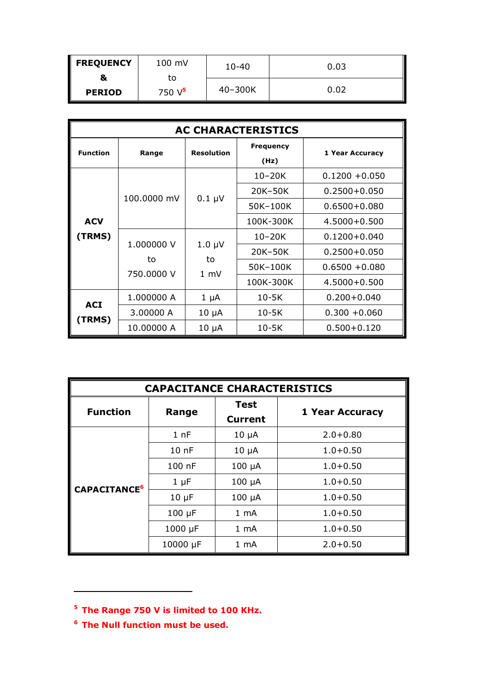| <b>FREQUENCY</b> | 100 mV    | $10 - 40$ | 0.03 |
|------------------|-----------|-----------|------|
| 8                | to        |           |      |
| <b>PERIOD</b>    | 750 $V^5$ | 40-300K   | 0.02 |

| <b>AC CHARACTERISTICS</b> |             |                                     |                          |                  |
|---------------------------|-------------|-------------------------------------|--------------------------|------------------|
| <b>Function</b>           | Range       | <b>Resolution</b>                   | <b>Frequency</b><br>(Hz) | 1 Year Accuracy  |
|                           |             |                                     | $10 - 20K$               | $0.1200 + 0.050$ |
|                           |             |                                     | 20K-50K                  | $0.2500 + 0.050$ |
|                           | 100,0000 mV | $0.1 \mu V$                         | 50K-100K                 | $0.6500 + 0.080$ |
| <b>ACV</b>                |             |                                     | 100K-300K                | $4.5000 + 0.500$ |
| (TRMS)                    | 1.000000 V  | $1.0 \mu V$<br>to<br>$1 \text{ mV}$ | $10 - 20K$               | $0.1200 + 0.040$ |
|                           | to          |                                     | 20K-50K                  | $0.2500 + 0.050$ |
|                           | 750,0000 V  |                                     | 50K-100K                 | $0.6500 + 0.080$ |
|                           |             |                                     | 100K-300K                | $4.5000 + 0.500$ |
| <b>ACI</b><br>(TRMS)      | 1.000000 A  | $1 \mu A$                           | $10-5K$                  | $0.200 + 0.040$  |
|                           | 3.00000 A   | $10 \mu A$                          | $10-5K$                  | $0.300 + 0.060$  |
|                           | 10.00000 A  | $10 \mu A$                          | $10-5K$                  | $0.500 + 0.120$  |

| <b>CAPACITANCE CHARACTERISTICS</b> |                  |                |                        |  |
|------------------------------------|------------------|----------------|------------------------|--|
| <b>Function</b>                    | Range            | <b>Test</b>    | <b>1 Year Accuracy</b> |  |
|                                    |                  | <b>Current</b> |                        |  |
|                                    | 1 <sub>nF</sub>  | $10 \mu A$     | $2.0 + 0.80$           |  |
|                                    | 10 <sub>nP</sub> | $10 \mu A$     | $1.0 + 0.50$           |  |
|                                    | 100 nF           | $100 \mu A$    | $1.0 + 0.50$           |  |
| CAPACITANCE <sup>6</sup>           | $1 \mu F$        | $100 \mu A$    | $1.0 + 0.50$           |  |
|                                    | $10 \mu F$       | $100 \mu A$    | $1.0 + 0.50$           |  |
|                                    | $100 \mu F$      | $1 \text{ mA}$ | $1.0 + 0.50$           |  |
|                                    | $1000 \mu F$     | $1 \text{ mA}$ | $1.0 + 0.50$           |  |
|                                    | 10000 µF         | 1 mA           | $2.0 + 0.50$           |  |

**<sup>5</sup> The Range 750 V is limited to 100 KHz.**

**<sup>6</sup> The Null function must be used.**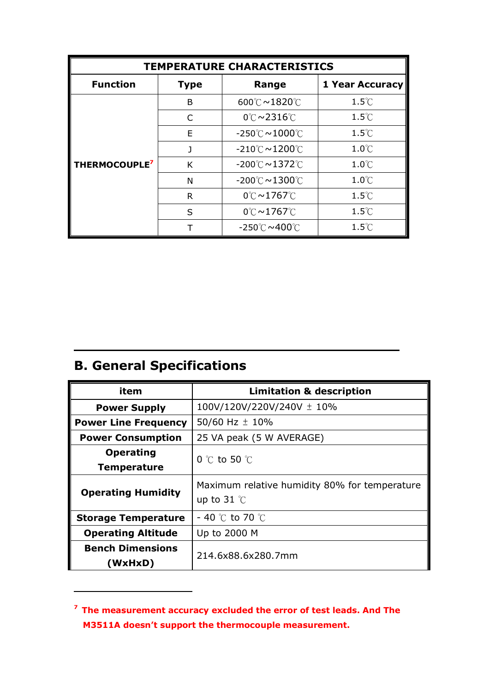| <b>TEMPERATURE CHARACTERISTICS</b> |              |                                             |                        |
|------------------------------------|--------------|---------------------------------------------|------------------------|
| <b>Function</b>                    | <b>Type</b>  | Range                                       | <b>1 Year Accuracy</b> |
|                                    | B            | 600℃~1820℃                                  | $1.5^{\circ}$ C        |
|                                    | C            | $0^\circ \text{C} \sim 2316^\circ \text{C}$ | $1.5^{\circ}$ C        |
|                                    | F            | $-250^{\circ}$ C $\sim$ 1000 $^{\circ}$ C   | $1.5^{\circ}$ C        |
|                                    | J            | $-210^{\circ}$ C $\sim$ 1200 $^{\circ}$ C   | $1.0^{\circ}$ C        |
| THERMOCOUPLE <sup>7</sup>          | K            | $-200^{\circ}$ C $\sim$ 1372 $^{\circ}$ C   | $1.0^{\circ}$ C        |
|                                    | N            | $-200^{\circ}$ C $\sim$ 1300 $^{\circ}$ C   | $1.0^{\circ}$ C        |
|                                    | R            | $0^\circ \text{C} \sim 1767^\circ \text{C}$ | $1.5^{\circ}$ C        |
|                                    | $\mathsf{S}$ | $0^\circ \text{C} \sim 1767^\circ \text{C}$ | $1.5^{\circ}$ C        |
|                                    |              | $-250^{\circ}$ C $\sim$ 400 $^{\circ}$ C    | $1.5^{\circ}$ C        |

## **B. General Specifications**

| item                               | <b>Limitation &amp; description</b>                                   |  |
|------------------------------------|-----------------------------------------------------------------------|--|
| <b>Power Supply</b>                | 100V/120V/220V/240V ± 10%                                             |  |
| <b>Power Line Frequency</b>        | 50/60 Hz $\pm$ 10%                                                    |  |
| <b>Power Consumption</b>           | 25 VA peak (5 W AVERAGE)                                              |  |
| <b>Operating</b>                   | 0 $\degree$ C to 50 $\degree$ C                                       |  |
| <b>Temperature</b>                 |                                                                       |  |
| <b>Operating Humidity</b>          | Maximum relative humidity 80% for temperature<br>up to 31 $\degree$ C |  |
| <b>Storage Temperature</b>         | $-$ 40 °C to 70 °C                                                    |  |
| <b>Operating Altitude</b>          | Up to 2000 M                                                          |  |
| <b>Bench Dimensions</b><br>(WxHxD) | 214.6x88.6x280.7mm                                                    |  |

**<sup>7</sup> The measurement accuracy excluded the error of test leads. And The M3511A doesn't support the thermocouple measurement.**